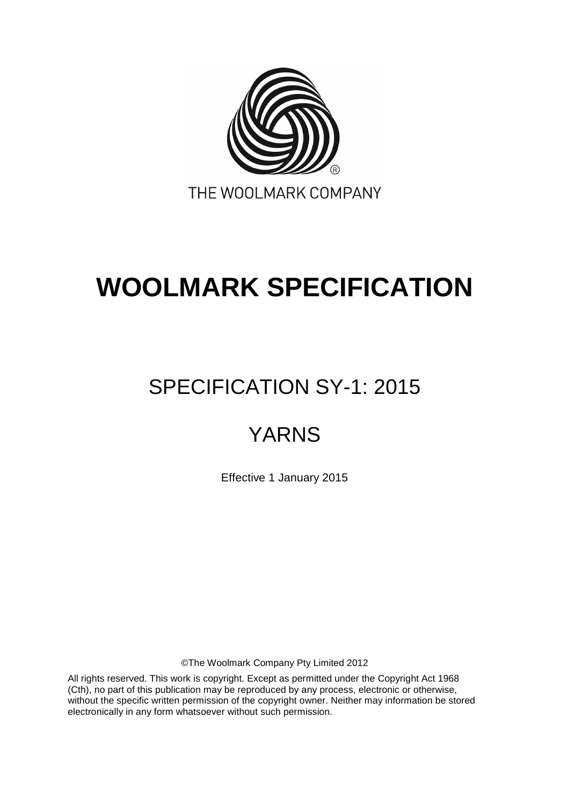

# **WOOLMARK SPECIFICATION**

## SPECIFICATION SY-1: 2015

## YARNS

Effective 1 January 2015

©The Woolmark Company Pty Limited 2012

All rights reserved. This work is copyright. Except as permitted under the Copyright Act 1968 (Cth), no part of this publication may be reproduced by any process, electronic or otherwise, without the specific written permission of the copyright owner. Neither may information be stored electronically in any form whatsoever without such permission.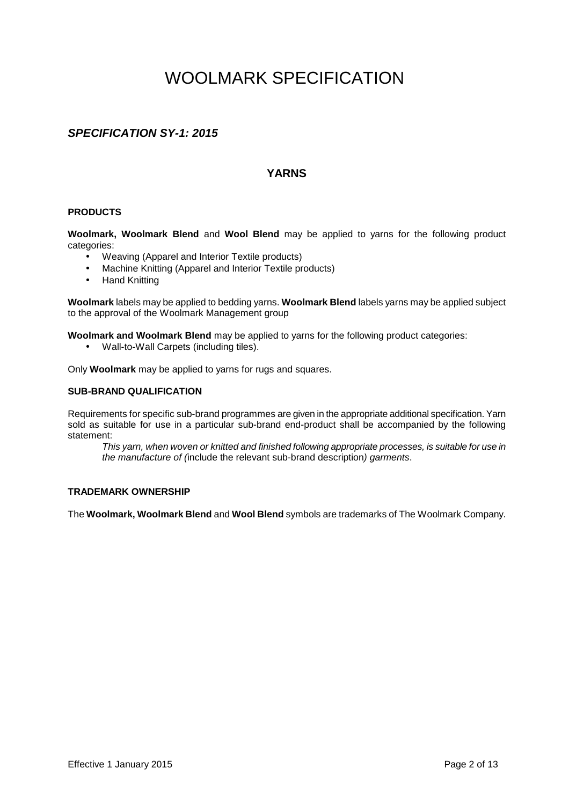## WOOLMARK SPECIFICATION

#### **SPECIFICATION SY-1: 2015**

#### **YARNS**

#### **PRODUCTS**

**Woolmark, Woolmark Blend** and **Wool Blend** may be applied to yarns for the following product categories:

- Weaving (Apparel and Interior Textile products)
- Machine Knitting (Apparel and Interior Textile products)
- Hand Knitting

**Woolmark** labels may be applied to bedding yarns. **Woolmark Blend** labels yarns may be applied subject to the approval of the Woolmark Management group

**Woolmark and Woolmark Blend** may be applied to yarns for the following product categories:

• Wall-to-Wall Carpets (including tiles).

Only **Woolmark** may be applied to yarns for rugs and squares.

#### **SUB-BRAND QUALIFICATION**

Requirements for specific sub-brand programmes are given in the appropriate additional specification. Yarn sold as suitable for use in a particular sub-brand end-product shall be accompanied by the following statement:

This yarn, when woven or knitted and finished following appropriate processes, is suitable for use in the manufacture of (include the relevant sub-brand description) garments.

#### **TRADEMARK OWNERSHIP**

The **Woolmark, Woolmark Blend** and **Wool Blend** symbols are trademarks of The Woolmark Company.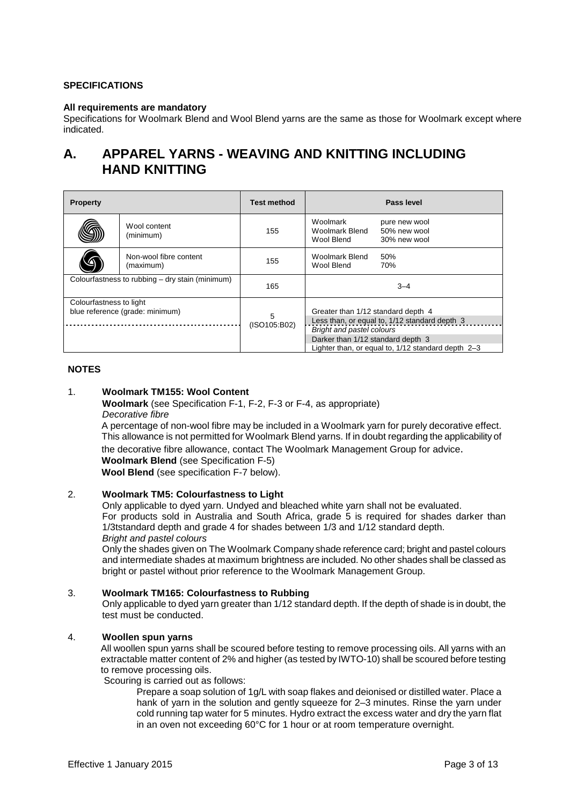#### **SPECIFICATIONS**

#### **All requirements are mandatory**

Specifications for Woolmark Blend and Wool Blend yarns are the same as those for Woolmark except where indicated.

### **A. APPAREL YARNS - WEAVING AND KNITTING INCLUDING HAND KNITTING**

| <b>Property</b>                                 |                                     | <b>Test method</b> |                                                                            | Pass level                                         |
|-------------------------------------------------|-------------------------------------|--------------------|----------------------------------------------------------------------------|----------------------------------------------------|
|                                                 | Wool content<br>(minimum)           | 155                | Woolmark<br>Woolmark Blend<br>Wool Blend                                   | pure new wool<br>50% new wool<br>30% new wool      |
|                                                 | Non-wool fibre content<br>(maximum) | 155                | Woolmark Blend<br>Wool Blend                                               | 50%<br>70%                                         |
| Colourfastness to rubbing – dry stain (minimum) |                                     | 165                |                                                                            | $3 - 4$                                            |
| Colourfastness to light                         |                                     |                    |                                                                            |                                                    |
| blue reference (grade: minimum)                 |                                     | 5                  | Greater than 1/12 standard depth 4                                         |                                                    |
|                                                 |                                     | (ISO105:B02)       | Less than, or equal to, 1/12 standard depth 3<br>Bright and pastel colours |                                                    |
|                                                 |                                     |                    | Darker than 1/12 standard depth 3                                          |                                                    |
|                                                 |                                     |                    |                                                                            | Lighter than, or equal to, 1/12 standard depth 2-3 |

#### **NOTES**

#### 1. **Woolmark TM155: Wool Content**

**Woolmark** (see Specification F-1, F-2, F-3 or F-4, as appropriate) Decorative fibre

A percentage of non-wool fibre may be included in a Woolmark yarn for purely decorative effect. This allowance is not permitted for Woolmark Blend yarns. If in doubt regarding the applicability of the decorative fibre allowance, contact The Woolmark Management Group for advice.

**Woolmark Blend** (see Specification F-5)

**Wool Blend** (see specification F-7 below).

#### 2. **Woolmark TM5: Colourfastness to Light**

Only applicable to dyed yarn. Undyed and bleached white yarn shall not be evaluated. For products sold in Australia and South Africa, grade 5 is required for shades darker than 1/3tstandard depth and grade 4 for shades between 1/3 and 1/12 standard depth. Bright and pastel colours

Only the shades given on The Woolmark Company shade reference card; bright and pastel colours and intermediate shades at maximum brightness are included. No other shades shall be classed as bright or pastel without prior reference to the Woolmark Management Group.

#### 3. **Woolmark TM165: Colourfastness to Rubbing**

Only applicable to dyed yarn greater than 1/12 standard depth. If the depth of shade is in doubt, the test must be conducted.

#### 4. **Woollen spun yarns**

All woollen spun yarns shall be scoured before testing to remove processing oils. All yarns with an extractable matter content of 2% and higher (as tested by IWTO-10) shall be scoured before testing to remove processing oils.

Scouring is carried out as follows:

Prepare a soap solution of 1g/L with soap flakes and deionised or distilled water. Place a hank of yarn in the solution and gently squeeze for 2–3 minutes. Rinse the yarn under cold running tap water for 5 minutes. Hydro extract the excess water and dry the yarn flat in an oven not exceeding 60°C for 1 hour or at room temperature overnight.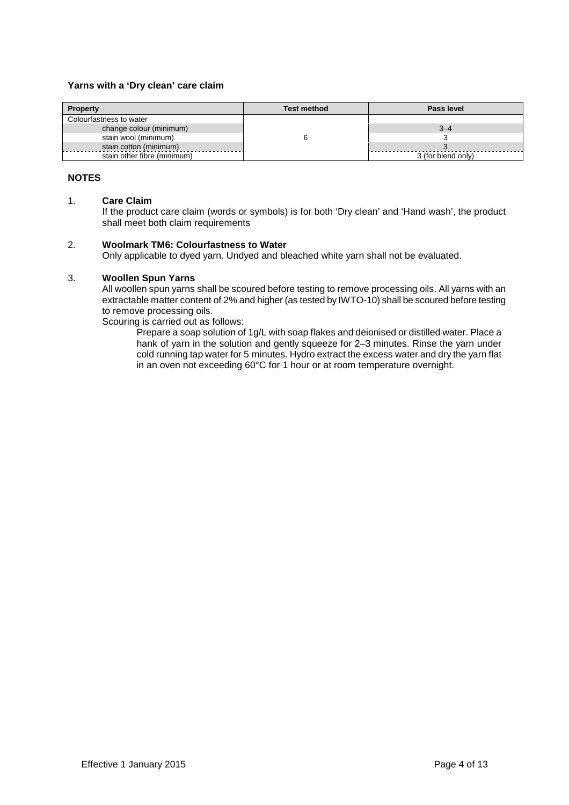#### **Yarns with a 'Dry clean' care claim**

| <b>Property</b>             | <b>Test method</b> | Pass level         |
|-----------------------------|--------------------|--------------------|
| Colourfastness to water     |                    |                    |
| change colour (minimum)     |                    | 3–4                |
| stain wool (minimum)        |                    |                    |
| stain cotton (minimum)<br>. |                    |                    |
| stain other fibre (minimum) |                    | 3 (for blend only) |

#### **NOTES**

#### 1. **Care Claim**

If the product care claim (words or symbols) is for both 'Dry clean' and 'Hand wash', the product shall meet both claim requirements

#### 2. **Woolmark TM6: Colourfastness to Water**

Only applicable to dyed yarn. Undyed and bleached white yarn shall not be evaluated.

#### 3. **Woollen Spun Yarns**

All woollen spun yarns shall be scoured before testing to remove processing oils. All yarns with an extractable matter content of 2% and higher (as tested by IWTO-10) shall be scoured before testing to remove processing oils.

Scouring is carried out as follows:

Prepare a soap solution of 1g/L with soap flakes and deionised or distilled water. Place a hank of yarn in the solution and gently squeeze for 2–3 minutes. Rinse the yarn under cold running tap water for 5 minutes. Hydro extract the excess water and dry the yarn flat in an oven not exceeding 60°C for 1 hour or at room temperature overnight.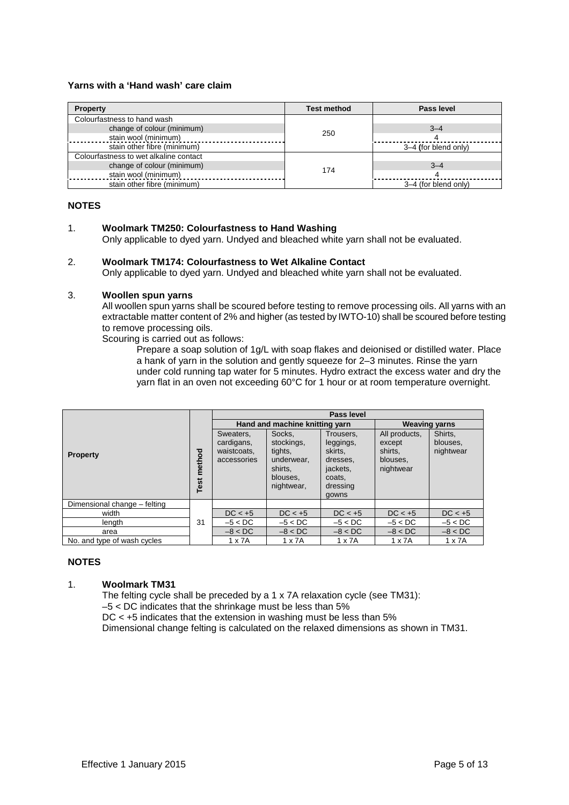#### **Yarns with a 'Hand wash' care claim**

| <b>Property</b>                        | <b>Test method</b> | Pass level           |
|----------------------------------------|--------------------|----------------------|
| Colourfastness to hand wash            |                    |                      |
| change of colour (minimum)             |                    | $3 - 4$              |
| stain wool (minimum)                   | 250                |                      |
| stain other fibre (minimum)            |                    | 3-4 (for blend only) |
| Colourfastness to wet alkaline contact |                    |                      |
| change of colour (minimum)             |                    | $3 - 4$              |
| stain wool (minimum)                   | 174                |                      |
| stain other fibre (minimum)            |                    | 3-4 (for blend only) |

#### **NOTES**

#### 1. **Woolmark TM250: Colourfastness to Hand Washing**

Only applicable to dyed yarn. Undyed and bleached white yarn shall not be evaluated.

#### 2. **Woolmark TM174: Colourfastness to Wet Alkaline Contact**

Only applicable to dyed yarn. Undyed and bleached white yarn shall not be evaluated.

#### 3. **Woollen spun yarns**

All woollen spun yarns shall be scoured before testing to remove processing oils. All yarns with an extractable matter content of 2% and higher (as tested by IWTO-10) shall be scoured before testing to remove processing oils.

Scouring is carried out as follows:

Prepare a soap solution of 1g/L with soap flakes and deionised or distilled water. Place a hank of yarn in the solution and gently squeeze for 2–3 minutes. Rinse the yarn under cold running tap water for 5 minutes. Hydro extract the excess water and dry the yarn flat in an oven not exceeding 60°C for 1 hour or at room temperature overnight.

|                              |                    | Pass level                                            |                                                                                    |                                                                                          |                                                             |                                  |  |
|------------------------------|--------------------|-------------------------------------------------------|------------------------------------------------------------------------------------|------------------------------------------------------------------------------------------|-------------------------------------------------------------|----------------------------------|--|
|                              |                    |                                                       | Hand and machine knitting yarn                                                     | <b>Weaving yarns</b>                                                                     |                                                             |                                  |  |
| <b>Property</b>              | <b>Test method</b> | Sweaters,<br>cardigans,<br>waistcoats.<br>accessories | Socks.<br>stockings,<br>tights,<br>underwear.<br>shirts.<br>blouses,<br>nightwear, | Trousers,<br>leggings,<br>skirts.<br>dresses.<br>jackets.<br>coats,<br>dressing<br>gowns | All products,<br>except<br>shirts.<br>blouses.<br>nightwear | Shirts.<br>blouses.<br>nightwear |  |
| Dimensional change - felting |                    |                                                       |                                                                                    |                                                                                          |                                                             |                                  |  |
| width                        |                    | $DC < +5$                                             | $DC < +5$                                                                          | $DC < +5$                                                                                | $DC < +5$                                                   | $DC < +5$                        |  |
| length                       | 31                 | $-5 < DC$                                             | $-5 < DC$                                                                          | $-5 < DC$                                                                                | $-5 < DC$                                                   | $-5 < DC$                        |  |
| area                         |                    | $-8 < DC$                                             | $-8 < DC$                                                                          | $-8 < DC$                                                                                | $-8 < DC$                                                   | $-8 < DC$                        |  |
| No, and type of wash cycles  |                    | $1 \times 7A$                                         | $1 \times 7A$                                                                      | $1 \times 7A$                                                                            | $1 \times 7A$                                               | $1 \times 7A$                    |  |

#### **NOTES**

#### 1. **Woolmark TM31**

The felting cycle shall be preceded by a 1 x 7A relaxation cycle (see TM31):  $-5 <$  DC indicates that the shrinkage must be less than 5% DC < +5 indicates that the extension in washing must be less than 5% Dimensional change felting is calculated on the relaxed dimensions as shown in TM31.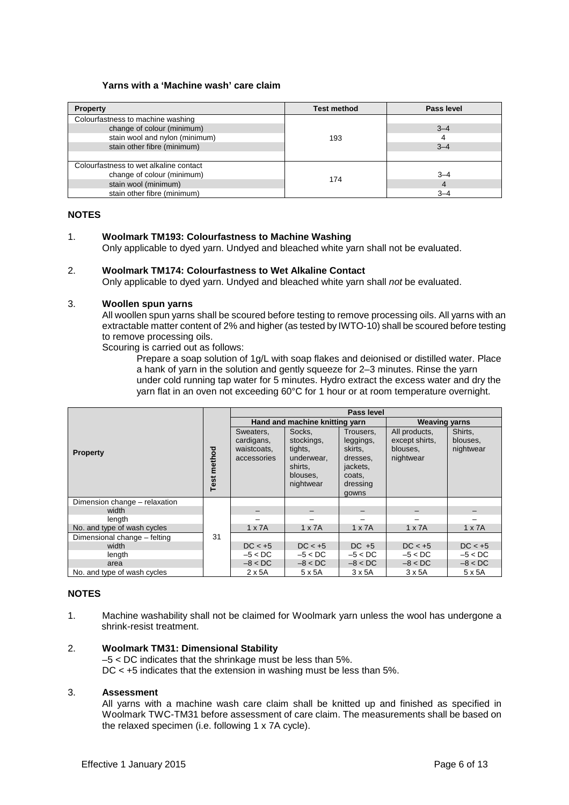#### **Yarns with a 'Machine wash' care claim**

| <b>Property</b>                        | <b>Test method</b> | Pass level |
|----------------------------------------|--------------------|------------|
| Colourfastness to machine washing      |                    |            |
| change of colour (minimum)             |                    | $3 - 4$    |
| stain wool and nylon (minimum)         | 193                | 4          |
| stain other fibre (minimum)            |                    | $3 - 4$    |
|                                        |                    |            |
| Colourfastness to wet alkaline contact |                    |            |
| change of colour (minimum)             |                    | $3 - 4$    |
| stain wool (minimum)                   | 174                |            |
| stain other fibre (minimum)            |                    | $3 - 4$    |

#### **NOTES**

#### 1. **Woolmark TM193: Colourfastness to Machine Washing**

Only applicable to dyed yarn. Undyed and bleached white yarn shall not be evaluated.

#### 2. **Woolmark TM174: Colourfastness to Wet Alkaline Contact**

Only applicable to dyed yarn. Undyed and bleached white yarn shall not be evaluated.

#### 3. **Woollen spun yarns**

All woollen spun yarns shall be scoured before testing to remove processing oils. All yarns with an extractable matter content of 2% and higher (as tested by IWTO-10) shall be scoured before testing to remove processing oils.

Scouring is carried out as follows:

Prepare a soap solution of 1g/L with soap flakes and deionised or distilled water. Place a hank of yarn in the solution and gently squeeze for 2–3 minutes. Rinse the yarn under cold running tap water for 5 minutes. Hydro extract the excess water and dry the yarn flat in an oven not exceeding 60°C for 1 hour or at room temperature overnight.

|                               |                | Pass level                                            |                                                                                   |                                                                                          |                                                          |                                  |
|-------------------------------|----------------|-------------------------------------------------------|-----------------------------------------------------------------------------------|------------------------------------------------------------------------------------------|----------------------------------------------------------|----------------------------------|
|                               |                |                                                       | Hand and machine knitting yarn                                                    | <b>Weaving yarns</b>                                                                     |                                                          |                                  |
| <b>Property</b>               | method<br>Test | Sweaters,<br>cardigans,<br>waistcoats.<br>accessories | Socks,<br>stockings,<br>tights,<br>underwear.<br>shirts,<br>blouses,<br>nightwear | Trousers,<br>leggings,<br>skirts,<br>dresses,<br>jackets,<br>coats.<br>dressing<br>gowns | All products,<br>except shirts.<br>blouses.<br>nightwear | Shirts,<br>blouses,<br>nightwear |
| Dimension change - relaxation |                |                                                       |                                                                                   |                                                                                          |                                                          |                                  |
| width                         |                |                                                       |                                                                                   |                                                                                          |                                                          |                                  |
| length                        |                |                                                       |                                                                                   |                                                                                          |                                                          |                                  |
| No. and type of wash cycles   |                | $1 \times 7A$                                         | $1 \times 7A$                                                                     | $1 \times 7A$                                                                            | $1 \times 7A$                                            | $1 \times 7A$                    |
| Dimensional change - felting  | 31             |                                                       |                                                                                   |                                                                                          |                                                          |                                  |
| width                         |                | $DC < +5$                                             | $DC < +5$                                                                         | $DC +5$                                                                                  | $DC < +5$                                                | $DC < +5$                        |
| length                        |                | $-5 < DC$                                             | $-5 < DC$                                                                         | $-5 < DC$                                                                                | $-5 < DC$                                                | $-5 < DC$                        |
| area                          |                | $-8 < DC$                                             | $-8 < DC$                                                                         | $-8 < DC$                                                                                | $-8 < DC$                                                | $-8 < DC$                        |
| No. and type of wash cycles   |                | $2 \times 5A$                                         | 5 x 5A                                                                            | $3 \times 5A$                                                                            | $3 \times 5A$                                            | $5 \times 5A$                    |

#### **NOTES**

1. Machine washability shall not be claimed for Woolmark yarn unless the wool has undergone a shrink-resist treatment.

#### 2. **Woolmark TM31: Dimensional Stability**

–5 < DC indicates that the shrinkage must be less than 5%. DC < +5 indicates that the extension in washing must be less than 5%.

#### 3. **Assessment**

All yarns with a machine wash care claim shall be knitted up and finished as specified in Woolmark TWC-TM31 before assessment of care claim. The measurements shall be based on the relaxed specimen (i.e. following 1 x 7A cycle).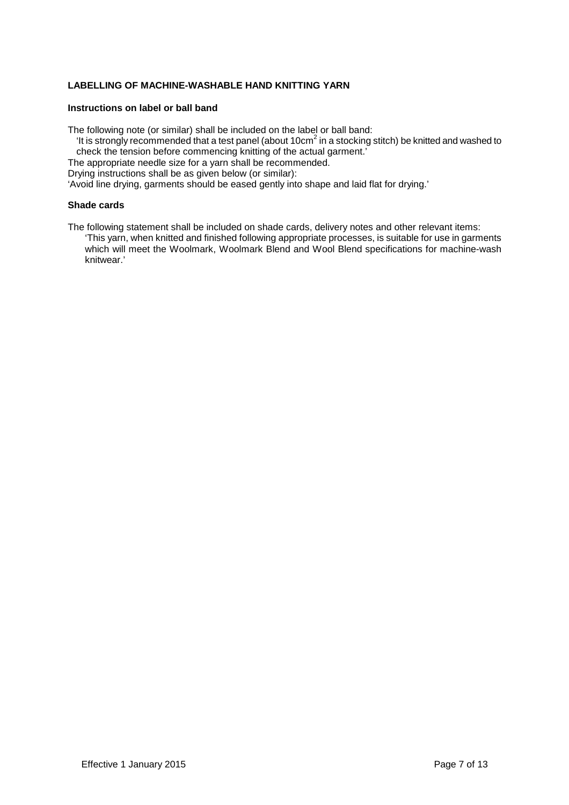#### **LABELLING OF MACHINE-WASHABLE HAND KNITTING YARN**

#### **Instructions on label or ball band**

The following note (or similar) shall be included on the label or ball band:

- 'It is strongly recommended that a test panel (about 10cm<sup>2</sup> in a stocking stitch) be knitted and washed to check the tension before commencing knitting of the actual garment.'
- The appropriate needle size for a yarn shall be recommended.

Drying instructions shall be as given below (or similar):

'Avoid line drying, garments should be eased gently into shape and laid flat for drying.'

#### **Shade cards**

The following statement shall be included on shade cards, delivery notes and other relevant items: 'This yarn, when knitted and finished following appropriate processes, is suitable for use in garments which will meet the Woolmark, Woolmark Blend and Wool Blend specifications for machine-wash knitwear.'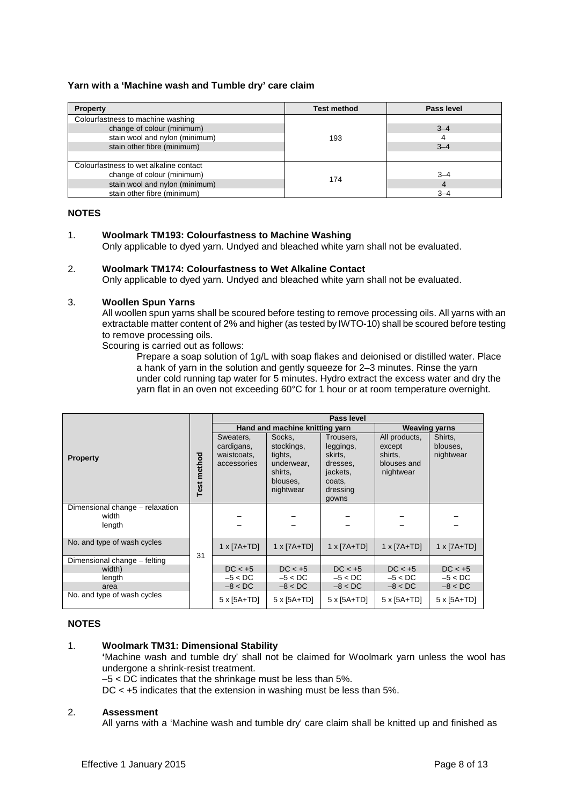#### **Yarn with a 'Machine wash and Tumble dry' care claim**

| <b>Property</b>                        | <b>Test method</b> | Pass level |
|----------------------------------------|--------------------|------------|
| Colourfastness to machine washing      |                    |            |
| change of colour (minimum)             |                    | $3 - 4$    |
| stain wool and nylon (minimum)         | 193                |            |
| stain other fibre (minimum)            |                    | $3 - 4$    |
|                                        |                    |            |
| Colourfastness to wet alkaline contact |                    |            |
| change of colour (minimum)             | 174                | $3 - 4$    |
| stain wool and nylon (minimum)         |                    | 4          |
| stain other fibre (minimum)            |                    | $3 - 4$    |

#### **NOTES**

#### 1. **Woolmark TM193: Colourfastness to Machine Washing**

Only applicable to dyed yarn. Undyed and bleached white yarn shall not be evaluated.

#### 2. **Woolmark TM174: Colourfastness to Wet Alkaline Contact**

Only applicable to dyed yarn. Undyed and bleached white yarn shall not be evaluated.

#### 3. **Woollen Spun Yarns**

All woollen spun yarns shall be scoured before testing to remove processing oils. All yarns with an extractable matter content of 2% and higher (as tested by IWTO-10) shall be scoured before testing to remove processing oils.

Scouring is carried out as follows:

Prepare a soap solution of 1g/L with soap flakes and deionised or distilled water. Place a hank of yarn in the solution and gently squeeze for 2–3 minutes. Rinse the yarn under cold running tap water for 5 minutes. Hydro extract the excess water and dry the yarn flat in an oven not exceeding 60°C for 1 hour or at room temperature overnight.

|                                                    |    | Pass level                                            |                                                                                   |                                                                                          |                                                                |                                  |  |  |
|----------------------------------------------------|----|-------------------------------------------------------|-----------------------------------------------------------------------------------|------------------------------------------------------------------------------------------|----------------------------------------------------------------|----------------------------------|--|--|
| <b>Property</b>                                    |    |                                                       | Hand and machine knitting yarn                                                    | <b>Weaving yarns</b>                                                                     |                                                                |                                  |  |  |
|                                                    |    | Sweaters,<br>cardigans,<br>waistcoats,<br>accessories | Socks,<br>stockings,<br>tights,<br>underwear,<br>shirts,<br>blouses,<br>nightwear | Trousers.<br>leggings,<br>skirts,<br>dresses,<br>jackets,<br>coats,<br>dressing<br>gowns | All products,<br>except<br>shirts,<br>blouses and<br>nightwear | Shirts,<br>blouses,<br>nightwear |  |  |
| Dimensional change - relaxation<br>width<br>length |    |                                                       |                                                                                   |                                                                                          |                                                                |                                  |  |  |
| No. and type of wash cycles                        |    | $1 \times [7A+TD]$                                    | $1 \times [7A+TD]$                                                                | $1 \times [7A+TD]$                                                                       | $1 \times [7A+TD]$                                             | $1 \times [7A+TD]$               |  |  |
| Dimensional change - felting                       | 31 |                                                       |                                                                                   |                                                                                          |                                                                |                                  |  |  |
| width)                                             |    | $DC < +5$                                             | $DC < +5$                                                                         | $DC < +5$                                                                                | $DC < +5$                                                      | $DC < +5$                        |  |  |
| length                                             |    | $-5 < DC$                                             | $-5 < DC$                                                                         | $-5 < DC$                                                                                | $-5 < DC$                                                      | $-5 < DC$                        |  |  |
| area                                               |    | $-8 < DC$                                             | $-8 < DC$                                                                         | $-8 < DC$                                                                                | $-8 < DC$                                                      | $-8 < DC$                        |  |  |
| No. and type of wash cycles                        |    | $5 \times 5A + TD$                                    | $5 \times 5A + TD$                                                                | $5 \times 5A + TD$                                                                       | $5 \times 5A + TD$                                             | $5 \times 5A+TD$                 |  |  |

#### **NOTES**

#### 1. **Woolmark TM31: Dimensional Stability**

**'**Machine wash and tumble dry' shall not be claimed for Woolmark yarn unless the wool has undergone a shrink-resist treatment.

 $-5 <$  DC indicates that the shrinkage must be less than 5%.

DC < +5 indicates that the extension in washing must be less than 5%.

#### 2. **Assessment**

All yarns with a 'Machine wash and tumble dry' care claim shall be knitted up and finished as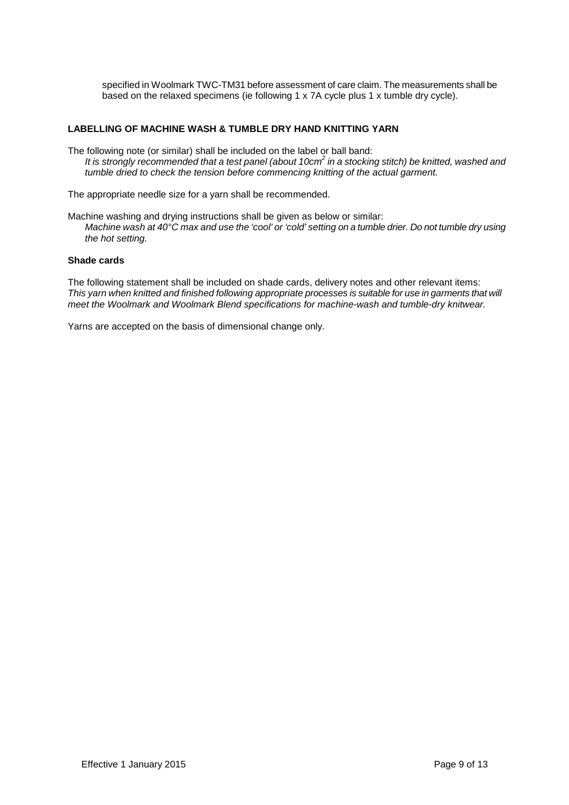specified in Woolmark TWC-TM31 before assessment of care claim. The measurements shall be based on the relaxed specimens (ie following 1 x 7A cycle plus 1 x tumble dry cycle).

#### **LABELLING OF MACHINE WASH & TUMBLE DRY HAND KNITTING YARN**

The following note (or similar) shall be included on the label or ball band: It is strongly recommended that a test panel (about 10cm<sup>2</sup> in a stocking stitch) be knitted, washed and tumble dried to check the tension before commencing knitting of the actual garment.

The appropriate needle size for a yarn shall be recommended.

Machine washing and drying instructions shall be given as below or similar: Machine wash at 40°C max and use the 'cool' or 'cold' setting on a tumble drier. Do not tumble dry using the hot setting.

#### **Shade cards**

The following statement shall be included on shade cards, delivery notes and other relevant items: This yarn when knitted and finished following appropriate processes is suitable for use in garments that will meet the Woolmark and Woolmark Blend specifications for machine-wash and tumble-dry knitwear.

Yarns are accepted on the basis of dimensional change only.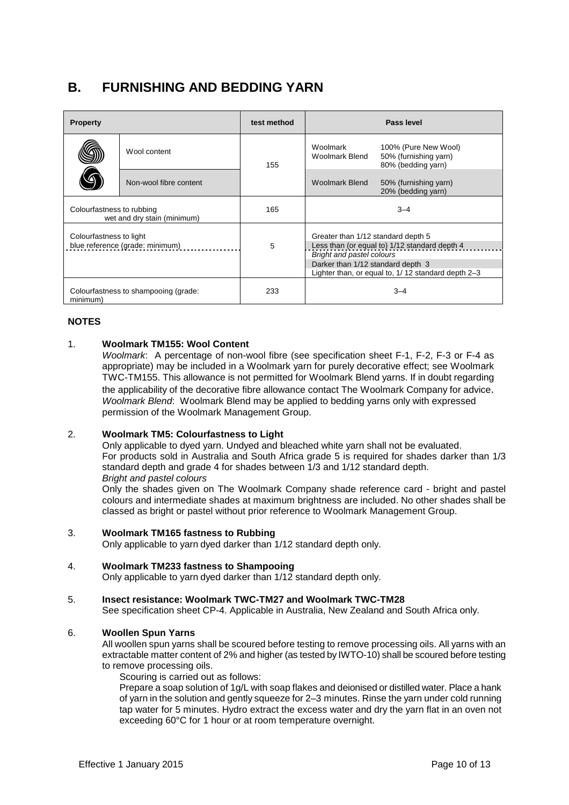### **B. FURNISHING AND BEDDING YARN**

| <b>Property</b>                                            |                        | test method | Pass level                                                                                                                                                                                                  |                                                                     |
|------------------------------------------------------------|------------------------|-------------|-------------------------------------------------------------------------------------------------------------------------------------------------------------------------------------------------------------|---------------------------------------------------------------------|
|                                                            | Wool content           | 155         | Woolmark<br><b>Woolmark Blend</b>                                                                                                                                                                           | 100% (Pure New Wool)<br>50% (furnishing yarn)<br>80% (bedding yarn) |
|                                                            | Non-wool fibre content |             | <b>Woolmark Blend</b>                                                                                                                                                                                       | 50% (furnishing yarn)<br>20% (bedding yarn)                         |
| Colourfastness to rubbing<br>wet and dry stain (minimum)   |                        | 165         | $3 - 4$                                                                                                                                                                                                     |                                                                     |
| Colourfastness to light<br>blue reference (grade: minimum) |                        | 5           | Greater than 1/12 standard depth 5<br>Less than (or equal to) 1/12 standard depth 4<br>Bright and pastel colours<br>Darker than 1/12 standard depth 3<br>Lighter than, or equal to, 1/12 standard depth 2-3 |                                                                     |
| Colourfastness to shampooing (grade:<br>minimum)           |                        | 233         | $3 - 4$                                                                                                                                                                                                     |                                                                     |

#### **NOTES**

#### 1. **Woolmark TM155: Wool Content**

Woolmark: A percentage of non-wool fibre (see specification sheet F-1, F-2, F-3 or F-4 as appropriate) may be included in a Woolmark yarn for purely decorative effect; see Woolmark TWC-TM155. This allowance is not permitted for Woolmark Blend yarns. If in doubt regarding the applicability of the decorative fibre allowance contact The Woolmark Company for advice. Woolmark Blend: Woolmark Blend may be applied to bedding yarns only with expressed permission of the Woolmark Management Group.

#### 2. **Woolmark TM5: Colourfastness to Light**

Only applicable to dyed yarn. Undyed and bleached white yarn shall not be evaluated. For products sold in Australia and South Africa grade 5 is required for shades darker than 1/3 standard depth and grade 4 for shades between 1/3 and 1/12 standard depth. Bright and pastel colours

Only the shades given on The Woolmark Company shade reference card - bright and pastel colours and intermediate shades at maximum brightness are included. No other shades shall be classed as bright or pastel without prior reference to Woolmark Management Group.

#### 3. **Woolmark TM165 fastness to Rubbing**

Only applicable to yarn dyed darker than 1/12 standard depth only.

#### 4. **Woolmark TM233 fastness to Shampooing**

Only applicable to yarn dyed darker than 1/12 standard depth only.

#### 5. **Insect resistance: Woolmark TWC-TM27 and Woolmark TWC-TM28**

See specification sheet CP-4. Applicable in Australia, New Zealand and South Africa only.

#### 6. **Woollen Spun Yarns**

All woollen spun yarns shall be scoured before testing to remove processing oils. All yarns with an extractable matter content of 2% and higher (as tested by IWTO-10) shall be scoured before testing to remove processing oils.

Scouring is carried out as follows:

Prepare a soap solution of 1g/L with soap flakes and deionised or distilled water. Place a hank of yarn in the solution and gently squeeze for 2–3 minutes. Rinse the yarn under cold running tap water for 5 minutes. Hydro extract the excess water and dry the yarn flat in an oven not exceeding 60°C for 1 hour or at room temperature overnight.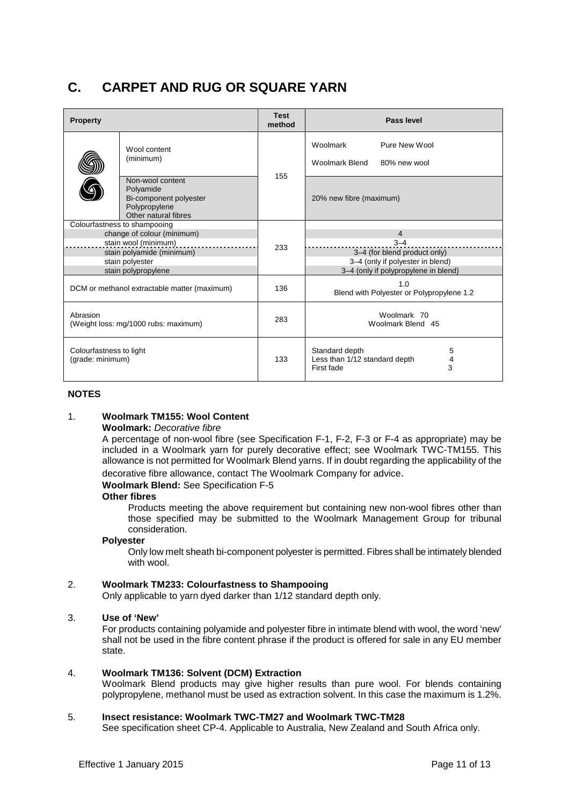## **C. CARPET AND RUG OR SQUARE YARN**

| <b>Property</b>                                  |                                                                                                                                                           | <b>Test</b><br>method | Pass level                                                                                                                            |
|--------------------------------------------------|-----------------------------------------------------------------------------------------------------------------------------------------------------------|-----------------------|---------------------------------------------------------------------------------------------------------------------------------------|
|                                                  | Wool content<br>(minimum)                                                                                                                                 | 155                   | Woolmark<br>Pure New Wool<br>Woolmark Blend<br>80% new wool                                                                           |
|                                                  | Non-wool content<br>Polyamide<br>Bi-component polyester<br>Polypropylene<br>Other natural fibres                                                          |                       | 20% new fibre (maximum)                                                                                                               |
|                                                  | Colourfastness to shampooing<br>change of colour (minimum)<br>stain wool (minimum)<br>stain polyamide (minimum)<br>stain polyester<br>stain polypropylene | 233                   | $\overline{4}$<br>$3 - 4$<br>3-4 (for blend product only)<br>3-4 (only if polyester in blend)<br>3-4 (only if polypropylene in blend) |
| DCM or methanol extractable matter (maximum)     |                                                                                                                                                           | 136                   | 1.0<br>Blend with Polyester or Polypropylene 1.2                                                                                      |
| Abrasion<br>(Weight loss: mg/1000 rubs: maximum) |                                                                                                                                                           | 283                   | Woolmark 70<br>Woolmark Blend 45                                                                                                      |
| Colourfastness to light<br>(grade: minimum)      |                                                                                                                                                           | 133                   | Standard depth<br>5<br>4<br>Less than 1/12 standard depth<br>3<br>First fade                                                          |

#### **NOTES**

#### 1. **Woolmark TM155: Wool Content**

#### **Woolmark:** Decorative fibre

A percentage of non-wool fibre (see Specification F-1, F-2, F-3 or F-4 as appropriate) may be included in a Woolmark yarn for purely decorative effect; see Woolmark TWC-TM155. This allowance is not permitted for Woolmark Blend yarns. If in doubt regarding the applicability of the decorative fibre allowance, contact The Woolmark Company for advice.

#### **Woolmark Blend:** See Specification F-5

#### **Other fibres**

Products meeting the above requirement but containing new non-wool fibres other than those specified may be submitted to the Woolmark Management Group for tribunal consideration.

#### **Polyester**

Only low melt sheath bi-component polyester is permitted. Fibres shall be intimately blended with wool.

#### 2. **Woolmark TM233: Colourfastness to Shampooing**

Only applicable to yarn dyed darker than 1/12 standard depth only.

#### 3. **Use of 'New'**

For products containing polyamide and polyester fibre in intimate blend with wool, the word 'new' shall not be used in the fibre content phrase if the product is offered for sale in any EU member state.

#### 4. **Woolmark TM136: Solvent (DCM) Extraction**

Woolmark Blend products may give higher results than pure wool. For blends containing polypropylene, methanol must be used as extraction solvent. In this case the maximum is 1.2%.

#### 5. **Insect resistance: Woolmark TWC-TM27 and Woolmark TWC-TM28**

See specification sheet CP-4. Applicable to Australia, New Zealand and South Africa only.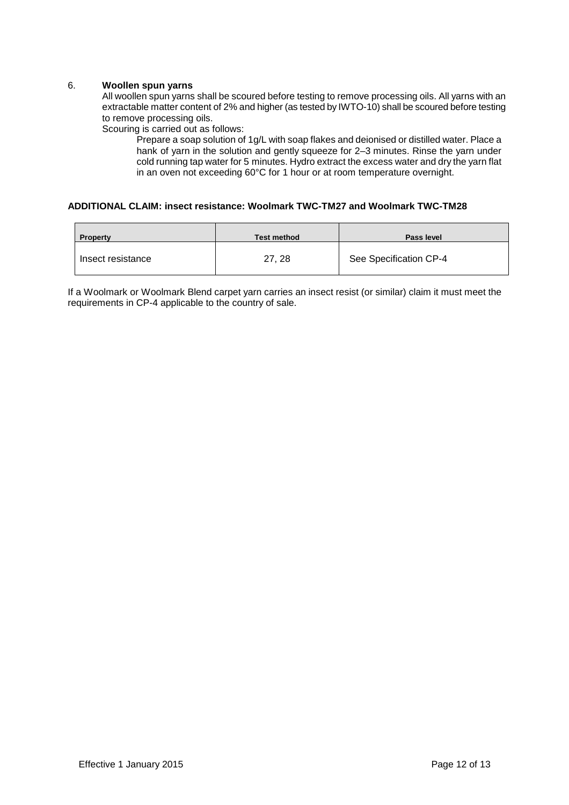#### 6. **Woollen spun yarns**

All woollen spun yarns shall be scoured before testing to remove processing oils. All yarns with an extractable matter content of 2% and higher (as tested by IWTO-10) shall be scoured before testing to remove processing oils.

Scouring is carried out as follows:

Prepare a soap solution of 1g/L with soap flakes and deionised or distilled water. Place a hank of yarn in the solution and gently squeeze for 2-3 minutes. Rinse the yarn under cold running tap water for 5 minutes. Hydro extract the excess water and dry the yarn flat in an oven not exceeding 60°C for 1 hour or at room temperature overnight.

#### **ADDITIONAL CLAIM: insect resistance: Woolmark TWC-TM27 and Woolmark TWC-TM28**

| <b>Property</b>   | <b>Test method</b> | Pass level             |
|-------------------|--------------------|------------------------|
| Insect resistance | 27, 28             | See Specification CP-4 |

If a Woolmark or Woolmark Blend carpet yarn carries an insect resist (or similar) claim it must meet the requirements in CP-4 applicable to the country of sale.